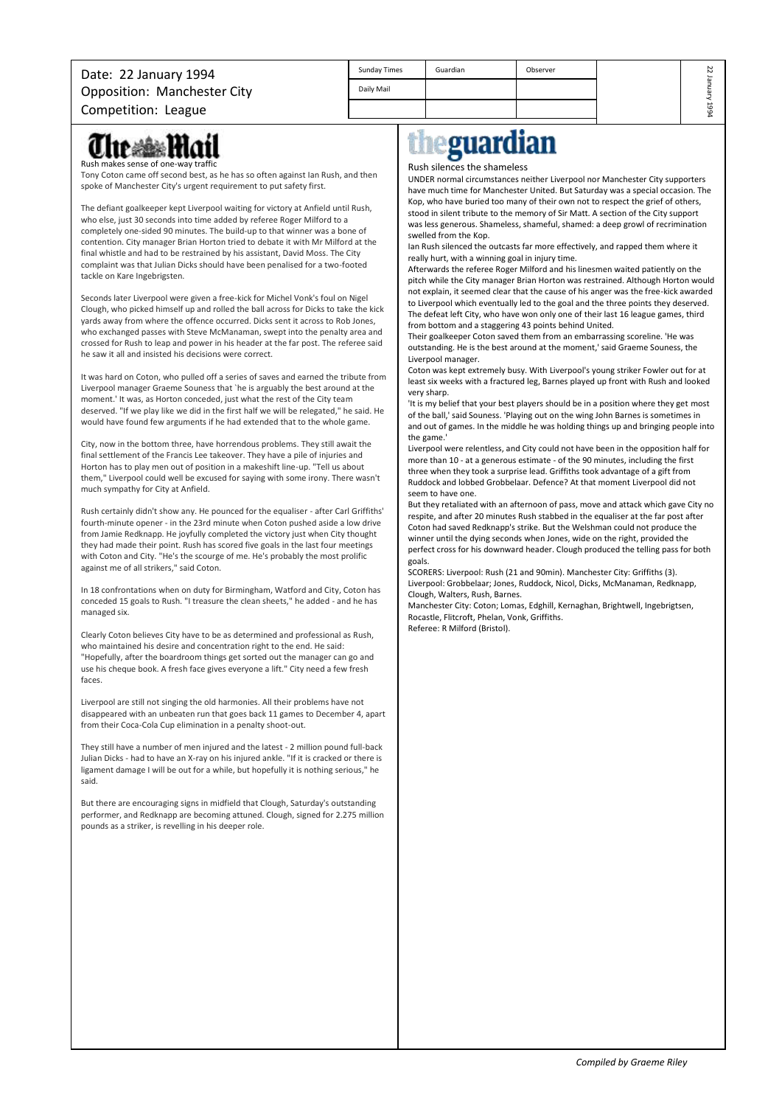## Date: 22 January 1994 Opposition: Manchester City

| Sunday Times | Guardian | Observer | Z<br>N   |
|--------------|----------|----------|----------|
| Daily Mail   |          |          | ച<br>ᇟ   |
|              |          |          | ما<br>٢C |

Competition: League

### **12 March 1710** Rush makes sense of one-

Tony Coton came off second best, as he has so often against Ian Rush, and then spoke of Manchester City's urgent requirement to put safety first.

The defiant goalkeeper kept Liverpool waiting for victory at Anfield until Rush, who else, just 30 seconds into time added by referee Roger Milford to a completely one-sided 90 minutes. The build-up to that winner was a bone of contention. City manager Brian Horton tried to debate it with Mr Milford at the final whistle and had to be restrained by his assistant, David Moss. The City complaint was that Julian Dicks should have been penalised for a two-footed tackle on Kare Ingebrigsten.

Seconds later Liverpool were given a free-kick for Michel Vonk's foul on Nigel Clough, who picked himself up and rolled the ball across for Dicks to take the kick yards away from where the offence occurred. Dicks sent it across to Rob Jones, who exchanged passes with Steve McManaman, swept into the penalty area and crossed for Rush to leap and power in his header at the far post. The referee said he saw it all and insisted his decisions were correct.

It was hard on Coton, who pulled off a series of saves and earned the tribute from Liverpool manager Graeme Souness that `he is arguably the best around at the moment.' It was, as Horton conceded, just what the rest of the City team deserved. "If we play like we did in the first half we will be relegated," he said. He would have found few arguments if he had extended that to the whole game.

City, now in the bottom three, have horrendous problems. They still await the final settlement of the Francis Lee takeover. They have a pile of injuries and Horton has to play men out of position in a makeshift line-up. "Tell us about them," Liverpool could well be excused for saying with some irony. There wasn't much sympathy for City at Anfield.

Rush certainly didn't show any. He pounced for the equaliser - after Carl Griffiths' fourth-minute opener - in the 23rd minute when Coton pushed aside a low drive from Jamie Redknapp. He joyfully completed the victory just when City thought they had made their point. Rush has scored five goals in the last four meetings with Coton and City. "He's the scourge of me. He's probably the most prolific against me of all strikers," said Coton.

In 18 confrontations when on duty for Birmingham, Watford and City, Coton has conceded 15 goals to Rush. "I treasure the clean sheets," he added - and he has managed six.

Clearly Coton believes City have to be as determined and professional as Rush, who maintained his desire and concentration right to the end. He said: "Hopefully, after the boardroom things get sorted out the manager can go and use his cheque book. A fresh face gives everyone a lift." City need a few fresh faces.

Liverpool are still not singing the old harmonies. All their problems have not disappeared with an unbeaten run that goes back 11 games to December 4, apart from their Coca-Cola Cup elimination in a penalty shoot-out.

They still have a number of men injured and the latest - 2 million pound full-back Julian Dicks - had to have an X-ray on his injured ankle. "If it is cracked or there is ligament damage I will be out for a while, but hopefully it is nothing serious," he said.

But there are encouraging signs in midfield that Clough, Saturday's outstanding performer, and Redknapp are becoming attuned. Clough, signed for 2.275 million pounds as a striker, is revelling in his deeper role.

# eguardian

#### Rush silences the shameless

UNDER normal circumstances neither Liverpool nor Manchester City supporters have much time for Manchester United. But Saturday was a special occasion. The Kop, who have buried too many of their own not to respect the grief of others, stood in silent tribute to the memory of Sir Matt. A section of the City support was less generous. Shameless, shameful, shamed: a deep growl of recrimination swelled from the Kop.

Ian Rush silenced the outcasts far more effectively, and rapped them where it really hurt, with a winning goal in injury time.

Afterwards the referee Roger Milford and his linesmen waited patiently on the pitch while the City manager Brian Horton was restrained. Although Horton would not explain, it seemed clear that the cause of his anger was the free-kick awarded to Liverpool which eventually led to the goal and the three points they deserved. The defeat left City, who have won only one of their last 16 league games, third from bottom and a staggering 43 points behind United.

Their goalkeeper Coton saved them from an embarrassing scoreline. 'He was outstanding. He is the best around at the moment,' said Graeme Souness, the Liverpool manager.

Coton was kept extremely busy. With Liverpool's young striker Fowler out for at least six weeks with a fractured leg, Barnes played up front with Rush and looked very sharp.

'It is my belief that your best players should be in a position where they get most of the ball,' said Souness. 'Playing out on the wing John Barnes is sometimes in and out of games. In the middle he was holding things up and bringing people into the game.'

Liverpool were relentless, and City could not have been in the opposition half for more than 10 - at a generous estimate - of the 90 minutes, including the first three when they took a surprise lead. Griffiths took advantage of a gift from Ruddock and lobbed Grobbelaar. Defence? At that moment Liverpool did not seem to have one.

But they retaliated with an afternoon of pass, move and attack which gave City no respite, and after 20 minutes Rush stabbed in the equaliser at the far post after Coton had saved Redknapp's strike. But the Welshman could not produce the winner until the dying seconds when Jones, wide on the right, provided the perfect cross for his downward header. Clough produced the telling pass for both goals.

SCORERS: Liverpool: Rush (21 and 90min). Manchester City: Griffiths (3). Liverpool: Grobbelaar; Jones, Ruddock, Nicol, Dicks, McManaman, Redknapp, Clough, Walters, Rush, Barnes.

Manchester City: Coton; Lomas, Edghill, Kernaghan, Brightwell, Ingebrigtsen, Rocastle, Flitcroft, Phelan, Vonk, Griffiths. Referee: R Milford (Bristol).